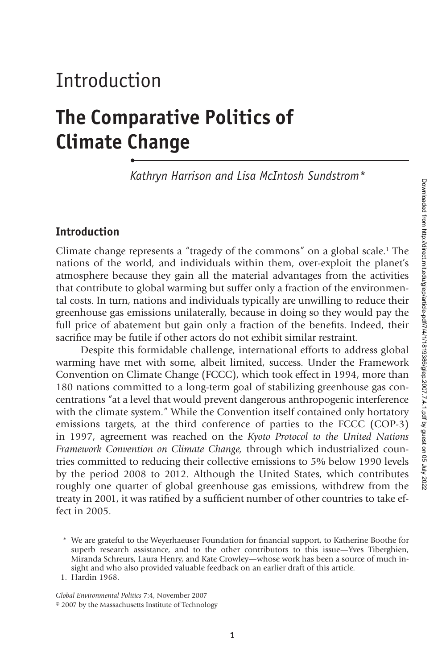## Introduction

•

# **The Comparative Politics of Climate Change**

*Kathryn Harrison and Lisa McIntosh Sundstrom\**

#### **Introduction**

Climate change represents a "tragedy of the commons" on a global scale.<sup>1</sup> The nations of the world, and individuals within them, over-exploit the planet's atmosphere because they gain all the material advantages from the activities that contribute to global warming but suffer only a fraction of the environmental costs. In turn, nations and individuals typically are unwilling to reduce their greenhouse gas emissions unilaterally, because in doing so they would pay the full price of abatement but gain only a fraction of the benefits. Indeed, their sacrifice may be futile if other actors do not exhibit similar restraint.

Despite this formidable challenge, international efforts to address global warming have met with some, albeit limited, success. Under the Framework Convention on Climate Change (FCCC), which took effect in 1994, more than 180 nations committed to a long-term goal of stabilizing greenhouse gas concentrations "at a level that would prevent dangerous anthropogenic interference with the climate system." While the Convention itself contained only hortatory emissions targets, at the third conference of parties to the FCCC (COP-3) in 1997, agreement was reached on the *Kyoto Protocol to the United Nations Framework Convention on Climate Change,* through which industrialized countries committed to reducing their collective emissions to 5% below 1990 levels by the period 2008 to 2012. Although the United States, which contributes roughly one quarter of global greenhouse gas emissions, withdrew from the treaty in 2001, it was ratified by a sufficient number of other countries to take effect in 2005.

*Global Environmental Politics* 7:4, November 2007 © 2007 by the Massachusetts Institute of Technology

<sup>\*</sup> We are grateful to the Weyerhaeuser Foundation for financial support, to Katherine Boothe for superb research assistance, and to the other contributors to this issue—Yves Tiberghien, Miranda Schreurs, Laura Henry, and Kate Crowley—whose work has been a source of much insight and who also provided valuable feedback on an earlier draft of this article.

<sup>1.</sup> Hardin 1968.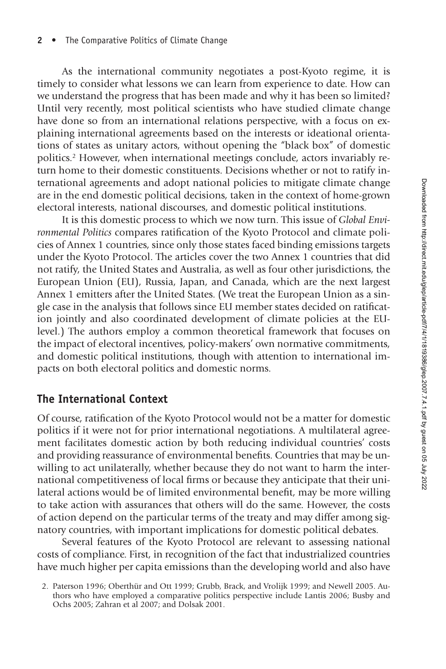#### **2** • The Comparative Politics of Climate Change

As the international community negotiates a post-Kyoto regime, it is timely to consider what lessons we can learn from experience to date. How can we understand the progress that has been made and why it has been so limited? Until very recently, most political scientists who have studied climate change have done so from an international relations perspective, with a focus on explaining international agreements based on the interests or ideational orientations of states as unitary actors, without opening the "black box" of domestic politics.2 However, when international meetings conclude, actors invariably return home to their domestic constituents. Decisions whether or not to ratify international agreements and adopt national policies to mitigate climate change are in the end domestic political decisions, taken in the context of home-grown electoral interests, national discourses, and domestic political institutions.

It is this domestic process to which we now turn. This issue of *Global Envi*ronmental Politics compares ratification of the Kyoto Protocol and climate policies of Annex 1 countries, since only those states faced binding emissions targets under the Kyoto Protocol. The articles cover the two Annex 1 countries that did not ratify, the United States and Australia, as well as four other jurisdictions, the European Union (EU), Russia, Japan, and Canada, which are the next largest Annex 1 emitters after the United States. (We treat the European Union as a single case in the analysis that follows since EU member states decided on ratification jointly and also coordinated development of climate policies at the EUlevel.) The authors employ a common theoretical framework that focuses on the impact of electoral incentives, policy-makers' own normative commitments, and domestic political institutions, though with attention to international impacts on both electoral politics and domestic norms.

#### **The International Context**

Of course, ratification of the Kyoto Protocol would not be a matter for domestic politics if it were not for prior international negotiations. A multilateral agreement facilitates domestic action by both reducing individual countries' costs and providing reassurance of environmental benefits. Countries that may be unwilling to act unilaterally, whether because they do not want to harm the international competitiveness of local firms or because they anticipate that their unilateral actions would be of limited environmental benefit, may be more willing to take action with assurances that others will do the same. However, the costs of action depend on the particular terms of the treaty and may differ among signatory countries, with important implications for domestic political debates.

Several features of the Kyoto Protocol are relevant to assessing national costs of compliance. First, in recognition of the fact that industrialized countries have much higher per capita emissions than the developing world and also have

<sup>2.</sup> Paterson 1996; Oberthür and Ott 1999; Grubb, Brack, and Vrolijk 1999; and Newell 2005. Authors who have employed a comparative politics perspective include Lantis 2006; Busby and Ochs 2005; Zahran et al 2007; and Dolsak 2001.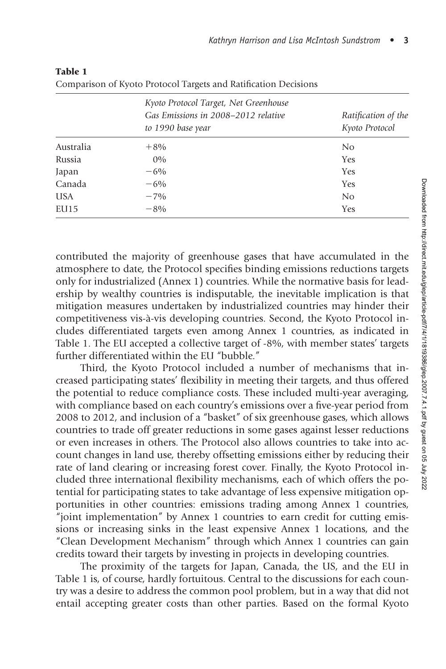|                  | Kyoto Protocol Target, Net Greenhouse<br>Gas Emissions in 2008–2012 relative<br>to 1990 base year | Ratification of the<br>Kyoto Protocol |  |
|------------------|---------------------------------------------------------------------------------------------------|---------------------------------------|--|
| Australia        | $+8%$                                                                                             | N <sub>0</sub>                        |  |
| Russia           | $0\%$                                                                                             | Yes                                   |  |
| Japan            | $-6\%$                                                                                            | Yes                                   |  |
| Canada           | $-6\%$                                                                                            | Yes                                   |  |
| <b>USA</b>       | $-7%$                                                                                             | N <sub>o</sub>                        |  |
| EUI <sub>5</sub> | $-8%$                                                                                             | Yes                                   |  |

| Table 1                                                         |  |
|-----------------------------------------------------------------|--|
| Comparison of Kyoto Protocol Targets and Ratification Decisions |  |

contributed the majority of greenhouse gases that have accumulated in the atmosphere to date, the Protocol specifies binding emissions reductions targets only for industrialized (Annex 1) countries. While the normative basis for leadership by wealthy countries is indisputable, the inevitable implication is that mitigation measures undertaken by industrialized countries may hinder their competitiveness vis-à-vis developing countries. Second, the Kyoto Protocol includes differentiated targets even among Annex 1 countries, as indicated in Table 1. The EU accepted a collective target of -8%, with member states' targets further differentiated within the EU "bubble."

Third, the Kyoto Protocol included a number of mechanisms that increased participating states' flexibility in meeting their targets, and thus offered the potential to reduce compliance costs. These included multi-year averaging, with compliance based on each country's emissions over a five-year period from 2008 to 2012, and inclusion of a "basket" of six greenhouse gases, which allows countries to trade off greater reductions in some gases against lesser reductions or even increases in others. The Protocol also allows countries to take into account changes in land use, thereby offsetting emissions either by reducing their rate of land clearing or increasing forest cover. Finally, the Kyoto Protocol included three international flexibility mechanisms, each of which offers the potential for participating states to take advantage of less expensive mitigation opportunities in other countries: emissions trading among Annex 1 countries, "joint implementation" by Annex 1 countries to earn credit for cutting emissions or increasing sinks in the least expensive Annex 1 locations, and the "Clean Development Mechanism" through which Annex 1 countries can gain credits toward their targets by investing in projects in developing countries.

The proximity of the targets for Japan, Canada, the US, and the EU in Table 1 is, of course, hardly fortuitous. Central to the discussions for each country was a desire to address the common pool problem, but in a way that did not entail accepting greater costs than other parties. Based on the formal Kyoto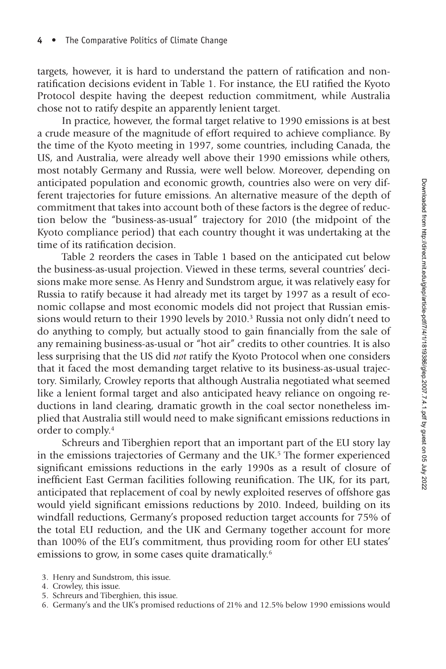targets, however, it is hard to understand the pattern of ratification and nonratification decisions evident in Table 1. For instance, the EU ratified the Kyoto Protocol despite having the deepest reduction commitment, while Australia chose not to ratify despite an apparently lenient target.

In practice, however, the formal target relative to 1990 emissions is at best a crude measure of the magnitude of effort required to achieve compliance. By the time of the Kyoto meeting in 1997, some countries, including Canada, the US, and Australia, were already well above their 1990 emissions while others, most notably Germany and Russia, were well below. Moreover, depending on anticipated population and economic growth, countries also were on very different trajectories for future emissions. An alternative measure of the depth of commitment that takes into account both of these factors is the degree of reduction below the "business-as-usual" trajectory for 2010 (the midpoint of the Kyoto compliance period) that each country thought it was undertaking at the time of its ratification decision.

Table 2 reorders the cases in Table 1 based on the anticipated cut below the business-as-usual projection. Viewed in these terms, several countries' decisions make more sense. As Henry and Sundstrom argue, it was relatively easy for Russia to ratify because it had already met its target by 1997 as a result of economic collapse and most economic models did not project that Russian emissions would return to their 1990 levels by 2010.3 Russia not only didn't need to do anything to comply, but actually stood to gain financially from the sale of any remaining business-as-usual or "hot air" credits to other countries. It is also less surprising that the US did *not* ratify the Kyoto Protocol when one considers that it faced the most demanding target relative to its business-as-usual trajectory. Similarly, Crowley reports that although Australia negotiated what seemed like a lenient formal target and also anticipated heavy reliance on ongoing reductions in land clearing, dramatic growth in the coal sector nonetheless implied that Australia still would need to make significant emissions reductions in order to comply.4

Schreurs and Tiberghien report that an important part of the EU story lay in the emissions trajectories of Germany and the UK.<sup>5</sup> The former experienced significant emissions reductions in the early 1990s as a result of closure of inefficient East German facilities following reunification. The UK, for its part, anticipated that replacement of coal by newly exploited reserves of offshore gas would yield significant emissions reductions by 2010. Indeed, building on its windfall reductions, Germany's proposed reduction target accounts for 75% of the total EU reduction, and the UK and Germany together account for more than 100% of the EU's commitment, thus providing room for other EU states' emissions to grow, in some cases quite dramatically.<sup>6</sup>

- 3. Henry and Sundstrom, this issue.
- 4. Crowley, this issue.
- 5. Schreurs and Tiberghien, this issue.
- 6. Germany's and the UK's promised reductions of 21% and 12.5% below 1990 emissions would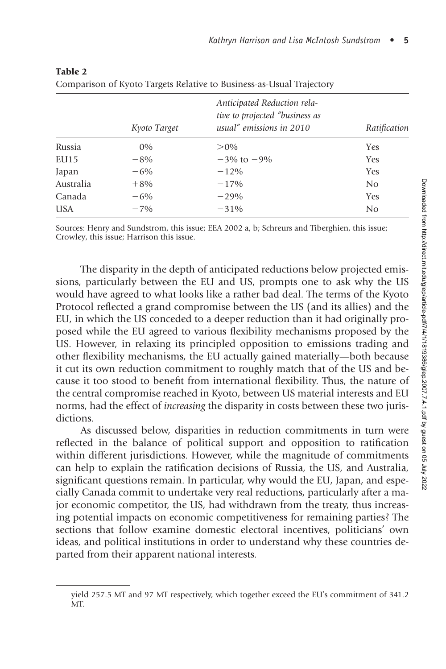| Kyoto Target | Anticipated Reduction rela-<br>tive to projected "business as<br>usual" emissions in 2010 | Ratification   |
|--------------|-------------------------------------------------------------------------------------------|----------------|
| $0\%$        | $> 0\%$                                                                                   | Yes            |
| $-8%$        | $-3\%$ to $-9\%$                                                                          | Yes            |
| $-6\%$       | $-12%$                                                                                    | Yes            |
| $+8%$        | $-17%$                                                                                    | N <sub>0</sub> |
| $-6\%$       | $-29%$                                                                                    | Yes            |
| $-7%$        | $-31%$                                                                                    | N <sub>0</sub> |
|              |                                                                                           |                |

## Table 2

Comparison of Kyoto Targets Relative to Business-as-Usual Trajectory

Sources: Henry and Sundstrom, this issue; EEA 2002 a, b; Schreurs and Tiberghien, this issue; Crowley, this issue; Harrison this issue.

The disparity in the depth of anticipated reductions below projected emissions, particularly between the EU and US, prompts one to ask why the US would have agreed to what looks like a rather bad deal. The terms of the Kyoto Protocol reflected a grand compromise between the US (and its allies) and the EU, in which the US conceded to a deeper reduction than it had originally proposed while the EU agreed to various flexibility mechanisms proposed by the US. However, in relaxing its principled opposition to emissions trading and other flexibility mechanisms, the EU actually gained materially—both because it cut its own reduction commitment to roughly match that of the US and because it too stood to benefit from international flexibility. Thus, the nature of the central compromise reached in Kyoto, between US material interests and EU norms, had the effect of *increasing* the disparity in costs between these two jurisdictions.

As discussed below, disparities in reduction commitments in turn were reflected in the balance of political support and opposition to ratification within different jurisdictions. However, while the magnitude of commitments can help to explain the ratification decisions of Russia, the US, and Australia, significant questions remain. In particular, why would the EU, Japan, and especially Canada commit to undertake very real reductions, particularly after a major economic competitor, the US, had withdrawn from the treaty, thus increasing potential impacts on economic competitiveness for remaining parties? The sections that follow examine domestic electoral incentives, politicians' own ideas, and political institutions in order to understand why these countries departed from their apparent national interests.

yield 257.5 MT and 97 MT respectively, which together exceed the EU's commitment of 341.2 MT.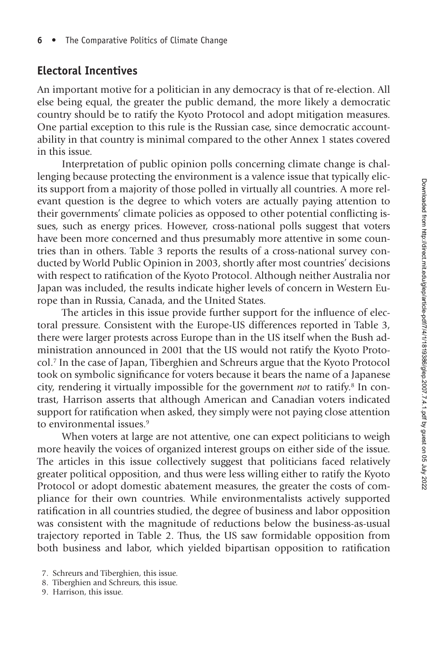#### **Electoral Incentives**

An important motive for a politician in any democracy is that of re-election. All else being equal, the greater the public demand, the more likely a democratic country should be to ratify the Kyoto Protocol and adopt mitigation measures. One partial exception to this rule is the Russian case, since democratic accountability in that country is minimal compared to the other Annex 1 states covered in this issue.

Interpretation of public opinion polls concerning climate change is challenging because protecting the environment is a valence issue that typically elicits support from a majority of those polled in virtually all countries. A more relevant question is the degree to which voters are actually paying attention to their governments' climate policies as opposed to other potential conflicting issues, such as energy prices. However, cross-national polls suggest that voters have been more concerned and thus presumably more attentive in some countries than in others. Table 3 reports the results of a cross-national survey conducted by World Public Opinion in 2003, shortly after most countries' decisions with respect to ratification of the Kyoto Protocol. Although neither Australia nor Japan was included, the results indicate higher levels of concern in Western Europe than in Russia, Canada, and the United States.

The articles in this issue provide further support for the influence of electoral pressure. Consistent with the Europe-US differences reported in Table 3, there were larger protests across Europe than in the US itself when the Bush administration announced in 2001 that the US would not ratify the Kyoto Protocol.7 In the case of Japan, Tiberghien and Schreurs argue that the Kyoto Protocol took on symbolic significance for voters because it bears the name of a Japanese city, rendering it virtually impossible for the government *not* to ratify.8 In contrast, Harrison asserts that although American and Canadian voters indicated support for ratification when asked, they simply were not paying close attention to environmental issues.9

When voters at large are not attentive, one can expect politicians to weigh more heavily the voices of organized interest groups on either side of the issue. The articles in this issue collectively suggest that politicians faced relatively greater political opposition, and thus were less willing either to ratify the Kyoto Protocol or adopt domestic abatement measures, the greater the costs of compliance for their own countries. While environmentalists actively supported ratification in all countries studied, the degree of business and labor opposition was consistent with the magnitude of reductions below the business-as-usual trajectory reported in Table 2. Thus, the US saw formidable opposition from both business and labor, which yielded bipartisan opposition to ratification

<sup>7.</sup> Schreurs and Tiberghien, this issue.

<sup>8.</sup> Tiberghien and Schreurs, this issue.

<sup>9.</sup> Harrison, this issue.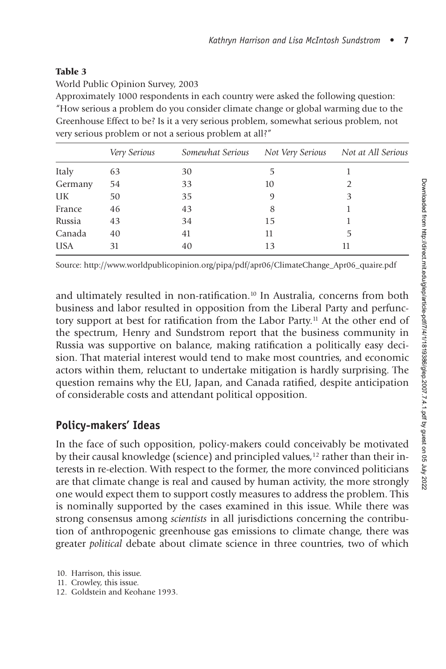#### Table 3

World Public Opinion Survey, 2003

Approximately 1000 respondents in each country were asked the following question: "How serious a problem do you consider climate change or global warming due to the Greenhouse Effect to be? Is it a very serious problem, somewhat serious problem, not very serious problem or not a serious problem at all?"

|            | Very Serious | Somewhat Serious | Not Very Serious | Not at All Serious |
|------------|--------------|------------------|------------------|--------------------|
| Italy      | 63           | 30               | 5                |                    |
| Germany    | 54           | 33               | 10               |                    |
| UK         | 50           | 35               | 9                | 3                  |
| France     | 46           | 43               | 8                |                    |
| Russia     | 43           | 34               | 15               |                    |
| Canada     | 40           | 41               | 11               | 5                  |
| <b>USA</b> | 31           | 40               | 13               | 11                 |

Source: http://www.worldpublicopinion.org/pipa/pdf/apr06/ClimateChange\_Apr06\_quaire.pdf

and ultimately resulted in non-ratification.<sup>10</sup> In Australia, concerns from both business and labor resulted in opposition from the Liberal Party and perfunctory support at best for ratification from the Labor Party.<sup>11</sup> At the other end of the spectrum, Henry and Sundstrom report that the business community in Russia was supportive on balance, making ratification a politically easy decision. That material interest would tend to make most countries, and economic actors within them, reluctant to undertake mitigation is hardly surprising. The question remains why the EU, Japan, and Canada ratified, despite anticipation of considerable costs and attendant political opposition.

## **Policy-makers' Ideas**

In the face of such opposition, policy-makers could conceivably be motivated by their causal knowledge (science) and principled values, $12$  rather than their interests in re-election. With respect to the former, the more convinced politicians are that climate change is real and caused by human activity, the more strongly one would expect them to support costly measures to address the problem. This is nominally supported by the cases examined in this issue. While there was strong consensus among *scientists* in all jurisdictions concerning the contribution of anthropogenic greenhouse gas emissions to climate change, there was greater *political* debate about climate science in three countries, two of which

<sup>10.</sup> Harrison, this issue.

<sup>11.</sup> Crowley, this issue.

<sup>12.</sup> Goldstein and Keohane 1993.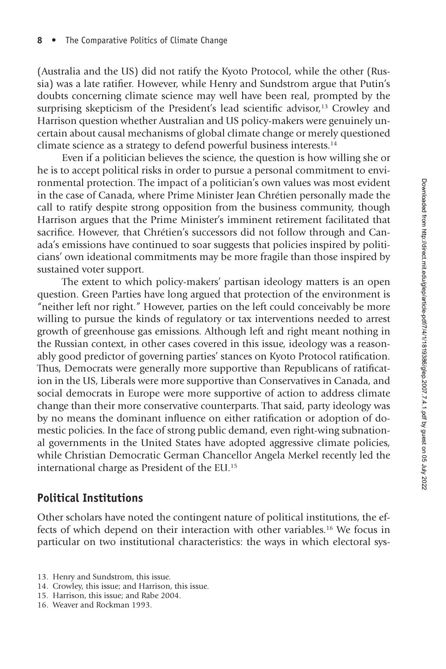(Australia and the US) did not ratify the Kyoto Protocol, while the other (Russia) was a late ratifier. However, while Henry and Sundstrom argue that Putin's doubts concerning climate science may well have been real, prompted by the surprising skepticism of the President's lead scientific advisor,<sup>13</sup> Crowley and Harrison question whether Australian and US policy-makers were genuinely uncertain about causal mechanisms of global climate change or merely questioned climate science as a strategy to defend powerful business interests.14

Even if a politician believes the science, the question is how willing she or he is to accept political risks in order to pursue a personal commitment to environmental protection. The impact of a politician's own values was most evident in the case of Canada, where Prime Minister Jean Chrétien personally made the call to ratify despite strong opposition from the business community, though Harrison argues that the Prime Minister's imminent retirement facilitated that sacrifice. However, that Chrétien's successors did not follow through and Canada's emissions have continued to soar suggests that policies inspired by politicians' own ideational commitments may be more fragile than those inspired by sustained voter support.

The extent to which policy-makers' partisan ideology matters is an open question. Green Parties have long argued that protection of the environment is "neither left nor right." However, parties on the left could conceivably be more willing to pursue the kinds of regulatory or tax interventions needed to arrest growth of greenhouse gas emissions. Although left and right meant nothing in the Russian context, in other cases covered in this issue, ideology was a reasonably good predictor of governing parties' stances on Kyoto Protocol ratification. Thus, Democrats were generally more supportive than Republicans of ratification in the US, Liberals were more supportive than Conservatives in Canada, and social democrats in Europe were more supportive of action to address climate change than their more conservative counterparts. That said, party ideology was by no means the dominant influence on either ratification or adoption of domestic policies. In the face of strong public demand, even right-wing subnational governments in the United States have adopted aggressive climate policies, while Christian Democratic German Chancellor Angela Merkel recently led the international charge as President of the EU.15

#### **Political Institutions**

Other scholars have noted the contingent nature of political institutions, the effects of which depend on their interaction with other variables.16 We focus in particular on two institutional characteristics: the ways in which electoral sys-

- 13. Henry and Sundstrom, this issue.
- 14. Crowley, this issue; and Harrison, this issue.

16. Weaver and Rockman 1993.

<sup>15.</sup> Harrison, this issue; and Rabe 2004.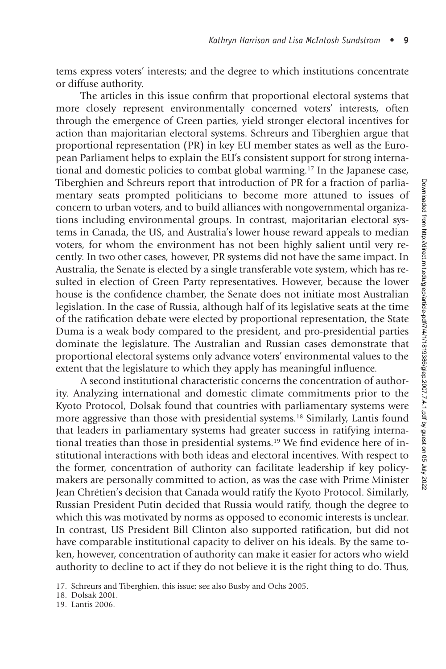tems express voters' interests; and the degree to which institutions concentrate or diffuse authority.

The articles in this issue confirm that proportional electoral systems that more closely represent environmentally concerned voters' interests, often through the emergence of Green parties, yield stronger electoral incentives for action than majoritarian electoral systems. Schreurs and Tiberghien argue that proportional representation (PR) in key EU member states as well as the European Parliament helps to explain the EU's consistent support for strong international and domestic policies to combat global warming.17 In the Japanese case, Tiberghien and Schreurs report that introduction of PR for a fraction of parliamentary seats prompted politicians to become more attuned to issues of concern to urban voters, and to build alliances with nongovernmental organizations including environmental groups. In contrast, majoritarian electoral systems in Canada, the US, and Australia's lower house reward appeals to median voters, for whom the environment has not been highly salient until very recently. In two other cases, however, PR systems did not have the same impact. In Australia, the Senate is elected by a single transferable vote system, which has resulted in election of Green Party representatives. However, because the lower house is the confidence chamber, the Senate does not initiate most Australian legislation. In the case of Russia, although half of its legislative seats at the time of the ratification debate were elected by proportional representation, the State Duma is a weak body compared to the president, and pro-presidential parties dominate the legislature. The Australian and Russian cases demonstrate that proportional electoral systems only advance voters' environmental values to the extent that the legislature to which they apply has meaningful influence.

A second institutional characteristic concerns the concentration of authority. Analyzing international and domestic climate commitments prior to the Kyoto Protocol, Dolsak found that countries with parliamentary systems were more aggressive than those with presidential systems.18 Similarly, Lantis found that leaders in parliamentary systems had greater success in ratifying international treaties than those in presidential systems.<sup>19</sup> We find evidence here of institutional interactions with both ideas and electoral incentives. With respect to the former, concentration of authority can facilitate leadership if key policymakers are personally committed to action, as was the case with Prime Minister Jean Chrétien's decision that Canada would ratify the Kyoto Protocol. Similarly, Russian President Putin decided that Russia would ratify, though the degree to which this was motivated by norms as opposed to economic interests is unclear. In contrast, US President Bill Clinton also supported ratification, but did not have comparable institutional capacity to deliver on his ideals. By the same token, however, concentration of authority can make it easier for actors who wield authority to decline to act if they do not believe it is the right thing to do. Thus,

18. Dolsak 2001.

19. Lantis 2006.

<sup>17.</sup> Schreurs and Tiberghien, this issue; see also Busby and Ochs 2005.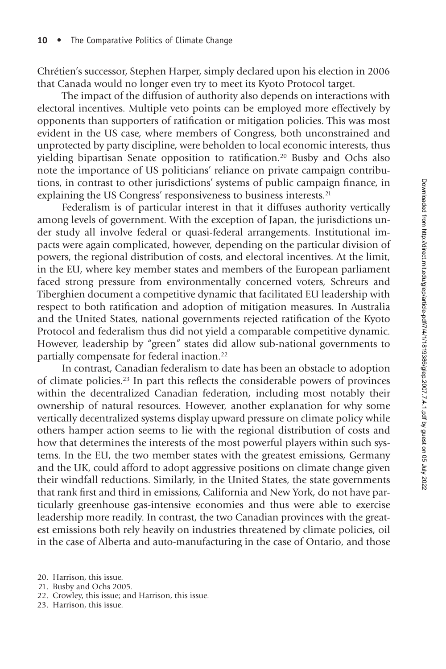Chrétien's successor, Stephen Harper, simply declared upon his election in 2006 that Canada would no longer even try to meet its Kyoto Protocol target.

The impact of the diffusion of authority also depends on interactions with electoral incentives. Multiple veto points can be employed more effectively by opponents than supporters of ratification or mitigation policies. This was most evident in the US case, where members of Congress, both unconstrained and unprotected by party discipline, were beholden to local economic interests, thus yielding bipartisan Senate opposition to ratification.<sup>20</sup> Busby and Ochs also note the importance of US politicians' reliance on private campaign contributions, in contrast to other jurisdictions' systems of public campaign finance, in explaining the US Congress' responsiveness to business interests.<sup>21</sup>

Federalism is of particular interest in that it diffuses authority vertically among levels of government. With the exception of Japan, the jurisdictions under study all involve federal or quasi-federal arrangements. Institutional impacts were again complicated, however, depending on the particular division of powers, the regional distribution of costs, and electoral incentives. At the limit, in the EU, where key member states and members of the European parliament faced strong pressure from environmentally concerned voters, Schreurs and Tiberghien document a competitive dynamic that facilitated EU leadership with respect to both ratification and adoption of mitigation measures. In Australia and the United States, national governments rejected ratification of the Kyoto Protocol and federalism thus did not yield a comparable competitive dynamic. However, leadership by "green" states did allow sub-national governments to partially compensate for federal inaction.<sup>22</sup>

In contrast, Canadian federalism to date has been an obstacle to adoption of climate policies.<sup>23</sup> In part this reflects the considerable powers of provinces within the decentralized Canadian federation, including most notably their ownership of natural resources. However, another explanation for why some vertically decentralized systems display upward pressure on climate policy while others hamper action seems to lie with the regional distribution of costs and how that determines the interests of the most powerful players within such systems. In the EU, the two member states with the greatest emissions, Germany and the UK, could afford to adopt aggressive positions on climate change given their windfall reductions. Similarly, in the United States, the state governments that rank first and third in emissions, California and New York, do not have particularly greenhouse gas-intensive economies and thus were able to exercise leadership more readily. In contrast, the two Canadian provinces with the greatest emissions both rely heavily on industries threatened by climate policies, oil in the case of Alberta and auto-manufacturing in the case of Ontario, and those

- 22. Crowley, this issue; and Harrison, this issue.
- 23. Harrison, this issue.

<sup>20.</sup> Harrison, this issue.

<sup>21.</sup> Busby and Ochs 2005.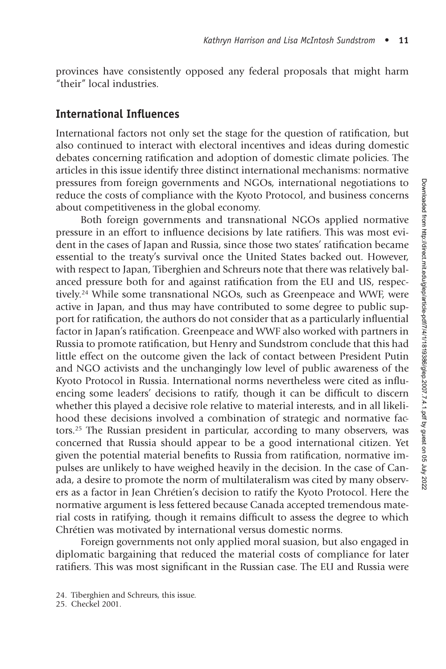provinces have consistently opposed any federal proposals that might harm "their" local industries.

#### **International Influences**

International factors not only set the stage for the question of ratification, but also continued to interact with electoral incentives and ideas during domestic debates concerning ratification and adoption of domestic climate policies. The articles in this issue identify three distinct international mechanisms: normative pressures from foreign governments and NGOs, international negotiations to reduce the costs of compliance with the Kyoto Protocol, and business concerns about competitiveness in the global economy.

Both foreign governments and transnational NGOs applied normative pressure in an effort to influence decisions by late ratifiers. This was most evident in the cases of Japan and Russia, since those two states' ratification became essential to the treaty's survival once the United States backed out. However, with respect to Japan, Tiberghien and Schreurs note that there was relatively balanced pressure both for and against ratification from the EU and US, respectively.<sup>24</sup> While some transnational NGOs, such as Greenpeace and WWF, were active in Japan, and thus may have contributed to some degree to public support for ratification, the authors do not consider that as a particularly influential factor in Japan's ratification. Greenpeace and WWF also worked with partners in Russia to promote ratification, but Henry and Sundstrom conclude that this had little effect on the outcome given the lack of contact between President Putin and NGO activists and the unchangingly low level of public awareness of the Kyoto Protocol in Russia. International norms nevertheless were cited as influencing some leaders' decisions to ratify, though it can be difficult to discern whether this played a decisive role relative to material interests, and in all likelihood these decisions involved a combination of strategic and normative factors.25 The Russian president in particular, according to many observers, was concerned that Russia should appear to be a good international citizen. Yet given the potential material benefits to Russia from ratification, normative impulses are unlikely to have weighed heavily in the decision. In the case of Canada, a desire to promote the norm of multilateralism was cited by many observers as a factor in Jean Chrétien's decision to ratify the Kyoto Protocol. Here the normative argument is less fettered because Canada accepted tremendous material costs in ratifying, though it remains difficult to assess the degree to which Chrétien was motivated by international versus domestic norms.

Foreign governments not only applied moral suasion, but also engaged in diplomatic bargaining that reduced the material costs of compliance for later ratifiers. This was most significant in the Russian case. The EU and Russia were

<sup>24.</sup> Tiberghien and Schreurs, this issue.

<sup>25.</sup> Checkel 2001.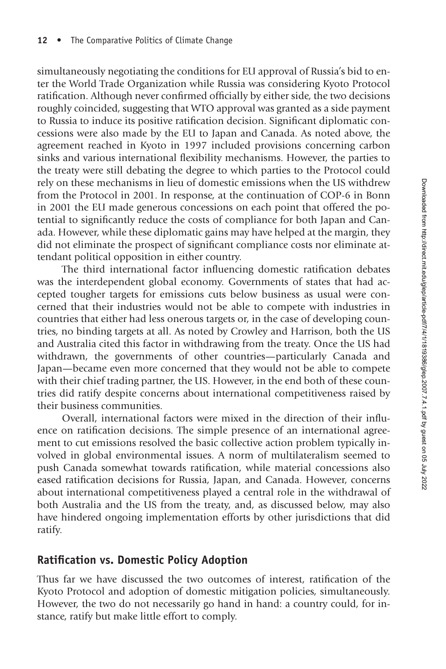simultaneously negotiating the conditions for EU approval of Russia's bid to enter the World Trade Organization while Russia was considering Kyoto Protocol ratification. Although never confirmed officially by either side, the two decisions roughly coincided, suggesting that WTO approval was granted as a side payment to Russia to induce its positive ratification decision. Significant diplomatic concessions were also made by the EU to Japan and Canada. As noted above, the agreement reached in Kyoto in 1997 included provisions concerning carbon sinks and various international flexibility mechanisms. However, the parties to the treaty were still debating the degree to which parties to the Protocol could rely on these mechanisms in lieu of domestic emissions when the US withdrew from the Protocol in 2001. In response, at the continuation of COP-6 in Bonn in 2001 the EU made generous concessions on each point that offered the potential to significantly reduce the costs of compliance for both Japan and Canada. However, while these diplomatic gains may have helped at the margin, they did not eliminate the prospect of significant compliance costs nor eliminate attendant political opposition in either country.

The third international factor influencing domestic ratification debates was the interdependent global economy. Governments of states that had accepted tougher targets for emissions cuts below business as usual were concerned that their industries would not be able to compete with industries in countries that either had less onerous targets or, in the case of developing countries, no binding targets at all. As noted by Crowley and Harrison, both the US and Australia cited this factor in withdrawing from the treaty. Once the US had withdrawn, the governments of other countries—particularly Canada and Japan—became even more concerned that they would not be able to compete with their chief trading partner, the US. However, in the end both of these countries did ratify despite concerns about international competitiveness raised by their business communities.

Overall, international factors were mixed in the direction of their influence on ratification decisions. The simple presence of an international agreement to cut emissions resolved the basic collective action problem typically involved in global environmental issues. A norm of multilateralism seemed to push Canada somewhat towards ratification, while material concessions also eased ratification decisions for Russia, Japan, and Canada. However, concerns about international competitiveness played a central role in the withdrawal of both Australia and the US from the treaty, and, as discussed below, may also have hindered ongoing implementation efforts by other jurisdictions that did ratify.

#### **Ratification vs. Domestic Policy Adoption**

Thus far we have discussed the two outcomes of interest, ratification of the Kyoto Protocol and adoption of domestic mitigation policies, simultaneously. However, the two do not necessarily go hand in hand: a country could, for instance, ratify but make little effort to comply.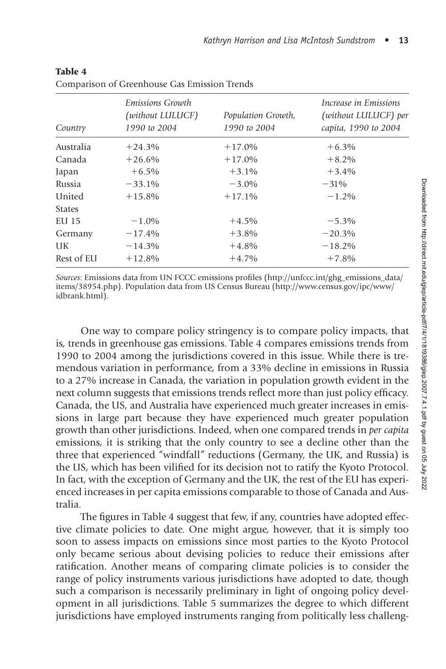| Country       | Emissions Growth<br>(without LULUCF)<br>1990 to 2004 | Population Growth,<br>1990 to 2004 | Increase in Emissions<br>(without LULUCF) per<br>capita, 1990 to 2004 |
|---------------|------------------------------------------------------|------------------------------------|-----------------------------------------------------------------------|
| Australia     | $+24.3%$                                             | $+17.0%$                           | $+6.3%$                                                               |
| Canada        | $+26.6%$                                             | $+17.0%$                           | $+8.2%$                                                               |
| Japan         | $+6.5\%$                                             | $+3.1%$                            | $+3.4%$                                                               |
| Russia        | $-33.1%$                                             | $-3.0\%$                           | $-31%$                                                                |
| United        | $+15.8\%$                                            | $+17.1%$                           | $-1.2%$                                                               |
| <b>States</b> |                                                      |                                    |                                                                       |
| EU 15         | $-1.0\%$                                             | $+4.5%$                            | $-5.3%$                                                               |
| Germany       | $-17.4%$                                             | $+3.8%$                            | $-20.3%$                                                              |
| <b>UK</b>     | $-14.3%$                                             | $+4.8%$                            | $-18.2%$                                                              |
| Rest of EU    | $+12.8%$                                             | $+4.7%$                            | $+7.8%$                                                               |

Table 4 Comparison of Greenhouse Gas Emission Trends

Sources: Emissions data from UN FCCC emissions profiles (http://unfccc.int/ghg\_emissions\_data/ items/38954.php). Population data from US Census Bureau (http://www.census.gov/ipc/www/ idbrank.html).

One way to compare policy stringency is to compare policy impacts, that is, trends in greenhouse gas emissions. Table 4 compares emissions trends from 1990 to 2004 among the jurisdictions covered in this issue. While there is tremendous variation in performance, from a 33% decline in emissions in Russia to a 27% increase in Canada, the variation in population growth evident in the next column suggests that emissions trends reflect more than just policy efficacy. Canada, the US, and Australia have experienced much greater increases in emissions in large part because they have experienced much greater population growth than other jurisdictions. Indeed, when one compared trends in *per capita* emissions, it is striking that the only country to see a decline other than the three that experienced "windfall" reductions (Germany, the UK, and Russia) is the US, which has been vilified for its decision not to ratify the Kyoto Protocol. In fact, with the exception of Germany and the UK, the rest of the EU has experienced increases in per capita emissions comparable to those of Canada and Australia.

The figures in Table 4 suggest that few, if any, countries have adopted effective climate policies to date. One might argue, however, that it is simply too soon to assess impacts on emissions since most parties to the Kyoto Protocol only became serious about devising policies to reduce their emissions after ratification. Another means of comparing climate policies is to consider the range of policy instruments various jurisdictions have adopted to date, though such a comparison is necessarily preliminary in light of ongoing policy development in all jurisdictions. Table 5 summarizes the degree to which different jurisdictions have employed instruments ranging from politically less challeng-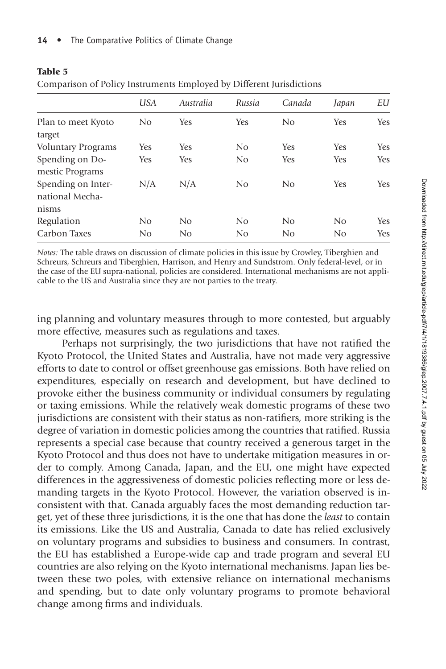|                                                | <b>USA</b>     | Australia | Russia | Canada     | Japan      | EU         |
|------------------------------------------------|----------------|-----------|--------|------------|------------|------------|
| Plan to meet Kyoto<br>target                   | N <sub>0</sub> | Yes       | Yes    | No         | Yes        | Yes        |
| <b>Voluntary Programs</b>                      | Yes            | Yes       | No     | <b>Yes</b> | <b>Yes</b> | <b>Yes</b> |
| Spending on Do-<br>mestic Programs             | Yes            | Yes       | No     | Yes        | Yes        | Yes        |
| Spending on Inter-<br>national Mecha-<br>nisms | N/A            | N/A       | No     | No         | Yes        | Yes        |
| Regulation                                     | N <sub>0</sub> | No        | No     | No         | No         | Yes        |
| Carbon Taxes                                   | N <sub>0</sub> | No        | No     | No         | No         | Yes        |

#### Table 5

Comparison of Policy Instruments Employed by Different Jurisdictions

*Notes:* The table draws on discussion of climate policies in this issue by Crowley, Tiberghien and Schreurs, Schreurs and Tiberghien, Harrison, and Henry and Sundstrom. Only federal-level, or in the case of the EU supra-national, policies are considered. International mechanisms are not applicable to the US and Australia since they are not parties to the treaty.

ing planning and voluntary measures through to more contested, but arguably more effective, measures such as regulations and taxes.

Perhaps not surprisingly, the two jurisdictions that have not ratified the Kyoto Protocol, the United States and Australia, have not made very aggressive efforts to date to control or offset greenhouse gas emissions. Both have relied on expenditures, especially on research and development, but have declined to provoke either the business community or individual consumers by regulating or taxing emissions. While the relatively weak domestic programs of these two jurisdictions are consistent with their status as non-ratifiers, more striking is the degree of variation in domestic policies among the countries that ratified. Russia represents a special case because that country received a generous target in the Kyoto Protocol and thus does not have to undertake mitigation measures in order to comply. Among Canada, Japan, and the EU, one might have expected differences in the aggressiveness of domestic policies reflecting more or less demanding targets in the Kyoto Protocol. However, the variation observed is inconsistent with that. Canada arguably faces the most demanding reduction target, yet of these three jurisdictions, it is the one that has done the *least* to contain its emissions. Like the US and Australia, Canada to date has relied exclusively on voluntary programs and subsidies to business and consumers. In contrast, the EU has established a Europe-wide cap and trade program and several EU countries are also relying on the Kyoto international mechanisms. Japan lies between these two poles, with extensive reliance on international mechanisms and spending, but to date only voluntary programs to promote behavioral change among firms and individuals.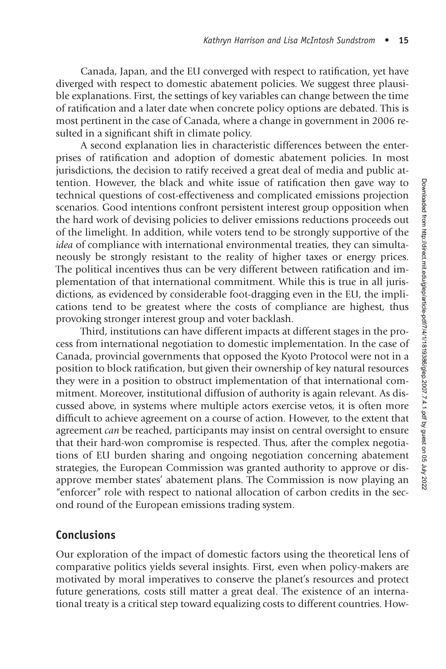Canada, Japan, and the EU converged with respect to ratification, yet have diverged with respect to domestic abatement policies. We suggest three plausible explanations. First, the settings of key variables can change between the time of ratification and a later date when concrete policy options are debated. This is most pertinent in the case of Canada, where a change in government in 2006 resulted in a significant shift in climate policy.

A second explanation lies in characteristic differences between the enterprises of ratification and adoption of domestic abatement policies. In most jurisdictions, the decision to ratify received a great deal of media and public attention. However, the black and white issue of ratification then gave way to technical questions of cost-effectiveness and complicated emissions projection scenarios. Good intentions confront persistent interest group opposition when the hard work of devising policies to deliver emissions reductions proceeds out of the limelight. In addition, while voters tend to be strongly supportive of the *idea* of compliance with international environmental treaties, they can simultaneously be strongly resistant to the reality of higher taxes or energy prices. The political incentives thus can be very different between ratification and implementation of that international commitment. While this is true in all jurisdictions, as evidenced by considerable foot-dragging even in the EU, the implications tend to be greatest where the costs of compliance are highest, thus provoking stronger interest group and voter backlash.

Third, institutions can have different impacts at different stages in the process from international negotiation to domestic implementation. In the case of Canada, provincial governments that opposed the Kyoto Protocol were not in a position to block ratification, but given their ownership of key natural resources they were in a position to obstruct implementation of that international commitment. Moreover, institutional diffusion of authority is again relevant. As discussed above, in systems where multiple actors exercise vetos, it is often more difficult to achieve agreement on a course of action. However, to the extent that agreement *can* be reached, participants may insist on central oversight to ensure that their hard-won compromise is respected. Thus, after the complex negotiations of EU burden sharing and ongoing negotiation concerning abatement strategies, the European Commission was granted authority to approve or disapprove member states' abatement plans. The Commission is now playing an "enforcer" role with respect to national allocation of carbon credits in the second round of the European emissions trading system.

## **Conclusions**

Our exploration of the impact of domestic factors using the theoretical lens of comparative politics yields several insights. First, even when policy-makers are motivated by moral imperatives to conserve the planet's resources and protect future generations, costs still matter a great deal. The existence of an international treaty is a critical step toward equalizing costs to different countries. How-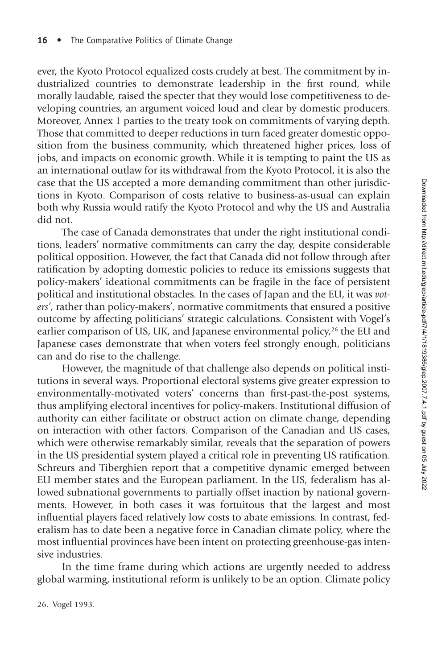ever, the Kyoto Protocol equalized costs crudely at best. The commitment by industrialized countries to demonstrate leadership in the first round, while morally laudable, raised the specter that they would lose competitiveness to developing countries, an argument voiced loud and clear by domestic producers. Moreover, Annex 1 parties to the treaty took on commitments of varying depth. Those that committed to deeper reductions in turn faced greater domestic opposition from the business community, which threatened higher prices, loss of jobs, and impacts on economic growth. While it is tempting to paint the US as an international outlaw for its withdrawal from the Kyoto Protocol, it is also the case that the US accepted a more demanding commitment than other jurisdictions in Kyoto. Comparison of costs relative to business-as-usual can explain both why Russia would ratify the Kyoto Protocol and why the US and Australia did not.

The case of Canada demonstrates that under the right institutional conditions, leaders' normative commitments can carry the day, despite considerable political opposition. However, the fact that Canada did not follow through after ratification by adopting domestic policies to reduce its emissions suggests that policy-makers' ideational commitments can be fragile in the face of persistent political and institutional obstacles. In the cases of Japan and the EU, it was *voters',* rather than policy-makers', normative commitments that ensured a positive outcome by affecting politicians' strategic calculations. Consistent with Vogel's earlier comparison of US, UK, and Japanese environmental policy,<sup>26</sup> the EU and Japanese cases demonstrate that when voters feel strongly enough, politicians can and do rise to the challenge.

However, the magnitude of that challenge also depends on political institutions in several ways. Proportional electoral systems give greater expression to environmentally-motivated voters' concerns than first-past-the-post systems, thus amplifying electoral incentives for policy-makers. Institutional diffusion of authority can either facilitate or obstruct action on climate change, depending on interaction with other factors. Comparison of the Canadian and US cases, which were otherwise remarkably similar, reveals that the separation of powers in the US presidential system played a critical role in preventing US ratification. Schreurs and Tiberghien report that a competitive dynamic emerged between EU member states and the European parliament. In the US, federalism has allowed subnational governments to partially offset inaction by national governments. However, in both cases it was fortuitous that the largest and most influential players faced relatively low costs to abate emissions. In contrast, federalism has to date been a negative force in Canadian climate policy, where the most influential provinces have been intent on protecting greenhouse-gas intensive industries.

In the time frame during which actions are urgently needed to address global warming, institutional reform is unlikely to be an option. Climate policy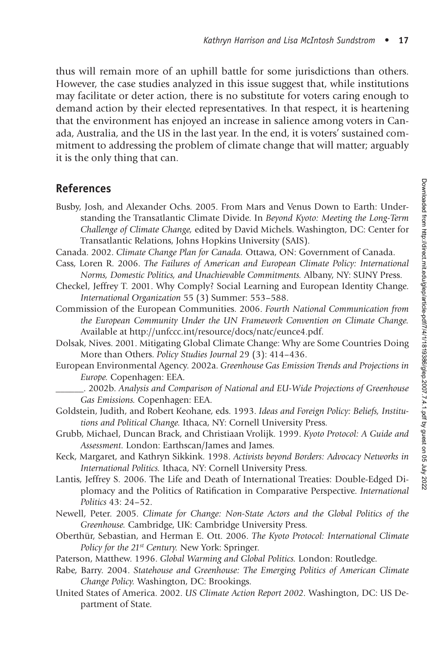thus will remain more of an uphill battle for some jurisdictions than others. However, the case studies analyzed in this issue suggest that, while institutions may facilitate or deter action, there is no substitute for voters caring enough to demand action by their elected representatives. In that respect, it is heartening that the environment has enjoyed an increase in salience among voters in Canada, Australia, and the US in the last year. In the end, it is voters' sustained commitment to addressing the problem of climate change that will matter; arguably it is the only thing that can.

#### **References**

- Busby, Josh, and Alexander Ochs. 2005. From Mars and Venus Down to Earth: Understanding the Transatlantic Climate Divide. In *Beyond Kyoto: Meeting the Long-Term Challenge of Climate Change,* edited by David Michels. Washington, DC: Center for Transatlantic Relations, Johns Hopkins University (SAIS).
- Canada. 2002. *Climate Change Plan for Canada.* Ottawa, ON: Government of Canada.
- Cass, Loren R. 2006. *The Failures of American and European Climate Policy: International Norms, Domestic Politics, and Unachievable Commitments.* Albany, NY: SUNY Press.
- Checkel, Jeffrey T. 2001. Why Comply? Social Learning and European Identity Change. *International Organization* 55 (3) Summer: 553–588.
- Commission of the European Communities. 2006. *Fourth National Communication from the European Community Under the UN Framework Convention on Climate Change.* Available at http://unfccc.int/resource/docs/natc/eunce4.pdf.
- Dolsak, Nives. 2001. Mitigating Global Climate Change: Why are Some Countries Doing More than Others. *Policy Studies Journal* 29 (3): 414–436.
- European Environmental Agency. 2002a. *Greenhouse Gas Emission Trends and Projections in Europe.* Copenhagen: EEA.
	- \_\_\_\_\_\_. 2002b. *Analysis and Comparison of National and EU-Wide Projections of Greenhouse Gas Emissions.* Copenhagen: EEA.
- Goldstein, Judith, and Robert Keohane, eds. 1993. *Ideas and Foreign Policy: Beliefs, Institutions and Political Change.* Ithaca, NY: Cornell University Press.
- Grubb, Michael, Duncan Brack, and Christiaan Vrolijk. 1999. *Kyoto Protocol: A Guide and Assessment.* London: Earthscan/James and James.
- Keck, Margaret, and Kathryn Sikkink. 1998. *Activists beyond Borders: Advocacy Networks in International Politics.* Ithaca, NY: Cornell University Press.
- Lantis, Jeffrey S. 2006. The Life and Death of International Treaties: Double-Edged Diplomacy and the Politics of Ratification in Comparative Perspective. *International Politics* 43: 24–52.
- Newell, Peter. 2005. *Climate for Change: Non-State Actors and the Global Politics of the Greenhouse.* Cambridge, UK: Cambridge University Press.
- Oberthür, Sebastian, and Herman E. Ott. 2006. *The Kyoto Protocol: International Climate Policy for the 21st Century.* New York: Springer.
- Paterson, Matthew. 1996. *Global Warming and Global Politics.* London: Routledge.
- Rabe, Barry. 2004. *Statehouse and Greenhouse: The Emerging Politics of American Climate Change Policy.* Washington, DC: Brookings.
- United States of America. 2002. *US Climate Action Report 2002.* Washington, DC: US Department of State.